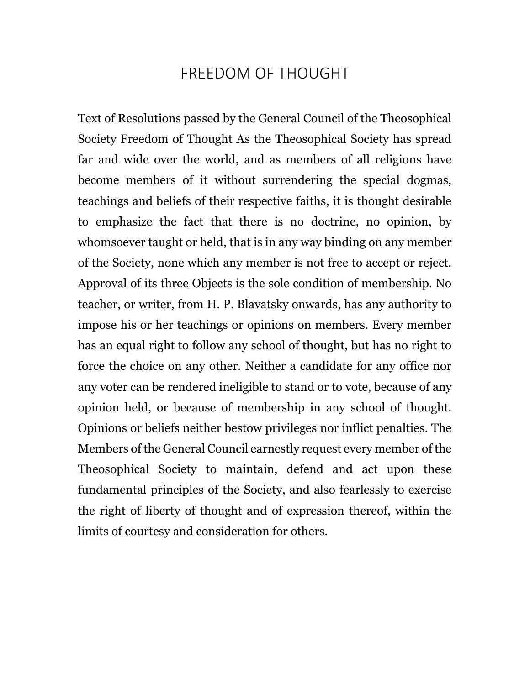## FREEDOM OF THOUGHT

Text of Resolutions passed by the General Council of the Theosophical Society Freedom of Thought As the Theosophical Society has spread far and wide over the world, and as members of all religions have become members of it without surrendering the special dogmas, teachings and beliefs of their respective faiths, it is thought desirable to emphasize the fact that there is no doctrine, no opinion, by whomsoever taught or held, that is in any way binding on any member of the Society, none which any member is not free to accept or reject. Approval of its three Objects is the sole condition of membership. No teacher, or writer, from H. P. Blavatsky onwards, has any authority to impose his or her teachings or opinions on members. Every member has an equal right to follow any school of thought, but has no right to force the choice on any other. Neither a candidate for any office nor any voter can be rendered ineligible to stand or to vote, because of any opinion held, or because of membership in any school of thought. Opinions or beliefs neither bestow privileges nor inflict penalties. The Members of the General Council earnestly request every member of the Theosophical Society to maintain, defend and act upon these fundamental principles of the Society, and also fearlessly to exercise the right of liberty of thought and of expression thereof, within the limits of courtesy and consideration for others.